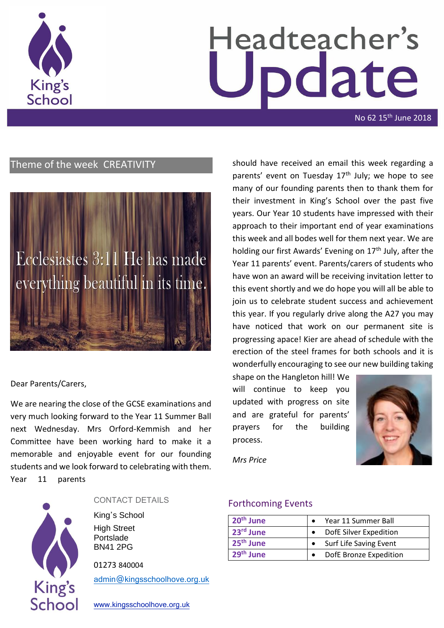

# Headteacher's odate

No 62 15<sup>th</sup> June 2018

#### Theme of the week CREATIVITY



#### Dear Parents/Carers,

We are nearing the close of the GCSE examinations and very much looking forward to the Year 11 Summer Ball next Wednesday. Mrs Orford-Kemmish and her Committee have been working hard to make it a memorable and enjoyable event for our founding students and we look forward to celebrating with them. Year 11 parents



#### CONTACT DETAILS

King's School High Street Portslade BN41 2PG

01273 840004

[admin@kingsschoolhove.org.uk](mailto:admin@kingsschoolhove.org.uk)

[www.kingsschoolhove.org.uk](http://www.kingsschoolhove.org.uk/)

should have received an email this week regarding a parents' event on Tuesday  $17<sup>th</sup>$  July; we hope to see many of our founding parents then to thank them for their investment in King's School over the past five years. Our Year 10 students have impressed with their approach to their important end of year examinations this week and all bodes well for them next year. We are holding our first Awards' Evening on  $17<sup>th</sup>$  July, after the Year 11 parents' event. Parents/carers of students who have won an award will be receiving invitation letter to this event shortly and we do hope you will all be able to join us to celebrate student success and achievement this year. If you regularly drive along the A27 you may have noticed that work on our permanent site is progressing apace! Kier are ahead of schedule with the erection of the steel frames for both schools and it is wonderfully encouraging to see our new building taking

shape on the Hangleton hill! We will continue to keep you updated with progress on site and are grateful for parents' prayers for the building process.



*Mrs Price*

#### Forthcoming Events

| 20 <sup>th</sup> June | Year 11 Summer Ball    |
|-----------------------|------------------------|
| 23rd June             | DofE Silver Expedition |
| 25 <sup>th</sup> June | Surf Life Saving Event |
| 29 <sup>th</sup> June | DofE Bronze Expedition |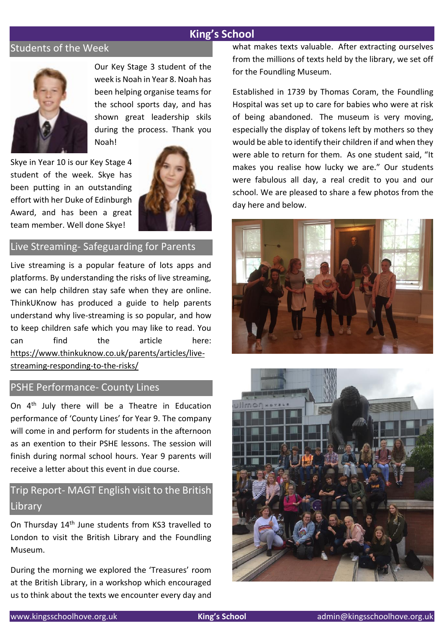#### Students of the Week



Our Key Stage 3 student of the week is Noah in Year 8. Noah has been helping organise teams for the school sports day, and has shown great leadership skils during the process. Thank you Noah!

Skye in Year 10 is our Key Stage 4 student of the week. Skye has been putting in an outstanding effort with her Duke of Edinburgh Award, and has been a great team member. Well done Skye!



#### Live Streaming- Safeguarding for Parents

Live streaming is a popular feature of lots apps and platforms. By understanding the risks of live streaming, we can help children stay safe when they are online. ThinkUKnow has produced a guide to help parents understand why live-streaming is so popular, and how to keep children safe which you may like to read. You can find the article here: [https://www.thinkuknow.co.uk/parents/articles/live](https://safeguardinginschools.us12.list-manage.com/track/click?u=efe032677d94ceba51dd39a7f&id=c99242b37f&e=3ac2ae8cce)[streaming-responding-to-the-risks/](https://safeguardinginschools.us12.list-manage.com/track/click?u=efe032677d94ceba51dd39a7f&id=c99242b37f&e=3ac2ae8cce)

#### PSHE Performance- County Lines

On 4<sup>th</sup> July there will be a Theatre in Education performance of 'County Lines' for Year 9. The company will come in and perform for students in the afternoon as an exention to their PSHE lessons. The session will finish during normal school hours. Year 9 parents will receive a letter about this event in due course.

#### Trip Report- MAGT English visit to the British **Library**

On Thursday 14th June students from KS3 travelled to London to visit the British Library and the Foundling Museum.

During the morning we explored the 'Treasures' room at the British Library, in a workshop which encouraged us to think about the texts we encounter every day and what makes texts valuable. After extracting ourselves from the millions of texts held by the library, we set off for the Foundling Museum.

Established in 1739 by Thomas Coram, the Foundling Hospital was set up to care for babies who were at risk of being abandoned. The museum is very moving, especially the display of tokens left by mothers so they would be able to identify their children if and when they were able to return for them. As one student said, "It makes you realise how lucky we are." Our students were fabulous all day, a real credit to you and our school. We are pleased to share a few photos from the day here and below.



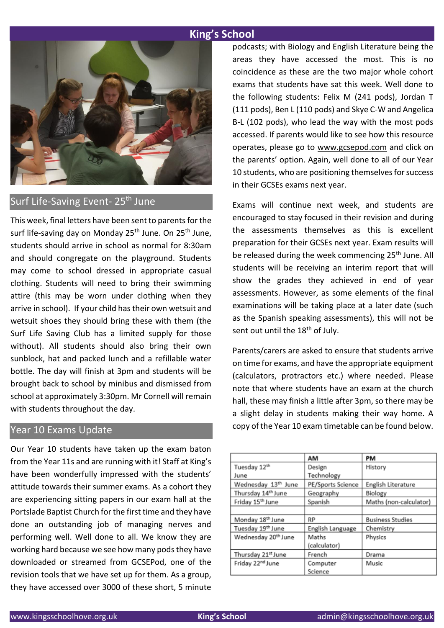

Surf Life-Saving Event- 25<sup>th</sup> June

This week, final letters have been sent to parents for the surf life-saving day on Monday 25<sup>th</sup> June. On 25<sup>th</sup> June. students should arrive in school as normal for 8:30am and should congregate on the playground. Students may come to school dressed in appropriate casual clothing. Students will need to bring their swimming attire (this may be worn under clothing when they arrive in school). If your child has their own wetsuit and wetsuit shoes they should bring these with them (the Surf Life Saving Club has a limited supply for those without). All students should also bring their own sunblock, hat and packed lunch and a refillable water bottle. The day will finish at 3pm and students will be brought back to school by minibus and dismissed from school at approximately 3:30pm. Mr Cornell will remain with students throughout the day.

#### Year 10 Exams Update

Our Year 10 students have taken up the exam baton from the Year 11s and are running with it! Staff at King's have been wonderfully impressed with the students' attitude towards their summer exams. As a cohort they are experiencing sitting papers in our exam hall at the Portslade Baptist Church for the first time and they have done an outstanding job of managing nerves and performing well. Well done to all. We know they are working hard because we see how many pods they have downloaded or streamed from GCSEPod, one of the revision tools that we have set up for them. As a group, they have accessed over 3000 of these short, 5 minute podcasts; with Biology and English Literature being the areas they have accessed the most. This is no coincidence as these are the two major whole cohort exams that students have sat this week. Well done to the following students: Felix M (241 pods), Jordan T (111 pods), Ben L (110 pods) and Skye C-W and Angelica B-L (102 pods), who lead the way with the most pods accessed. If parents would like to see how this resource operates, please go to [www.gcsepod.com](http://www.gcsepod.com/) and click on the parents' option. Again, well done to all of our Year 10 students, who are positioning themselves for success in their GCSEs exams next year.

Exams will continue next week, and students are encouraged to stay focused in their revision and during the assessments themselves as this is excellent preparation for their GCSEs next year. Exam results will be released during the week commencing 25<sup>th</sup> June. All students will be receiving an interim report that will show the grades they achieved in end of year assessments. However, as some elements of the final examinations will be taking place at a later date (such as the Spanish speaking assessments), this will not be sent out until the 18<sup>th</sup> of July.

Parents/carers are asked to ensure that students arrive on time for exams, and have the appropriate equipment (calculators, protractors etc.) where needed. Please note that where students have an exam at the church hall, these may finish a little after 3pm, so there may be a slight delay in students making their way home. A copy of the Year 10 exam timetable can be found below.

|                                 | AМ                | PM                      |
|---------------------------------|-------------------|-------------------------|
| Tuesday 12th                    | Design            | History                 |
| June                            | Technology        |                         |
| Wednesday 13th June             | PE/Sports Science | English Literature      |
| Thursday 14th June              | Geography         | Biology                 |
| Friday 15th June                | Spanish           | Maths (non-calculator)  |
|                                 |                   |                         |
| Monday 18th June                | <b>RP</b>         | <b>Business Studies</b> |
| Tuesday 19th June               | English Language  | Chemistry               |
| Wednesday 20 <sup>th</sup> June | Maths             | Physics                 |
|                                 | (calculator)      |                         |
| Thursday 21st June              | French            | Drama                   |
| Friday 22 <sup>nd</sup> June    | Computer          | Music                   |
|                                 | Science           |                         |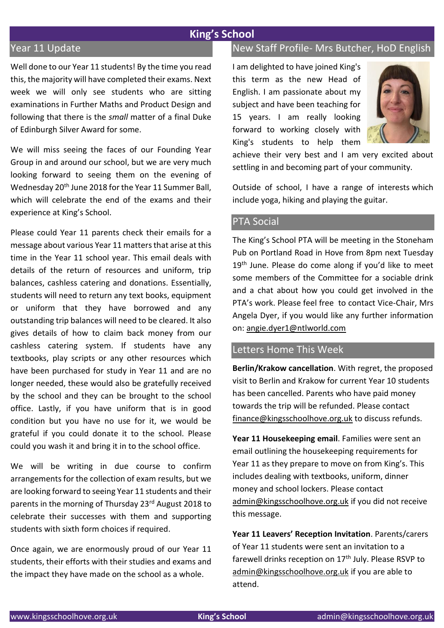#### Year 11 Update

Well done to our Year 11 students! By the time you read this, the majority will have completed their exams. Next week we will only see students who are sitting examinations in Further Maths and Product Design and following that there is the *small* matter of a final Duke of Edinburgh Silver Award for some.

We will miss seeing the faces of our Founding Year Group in and around our school, but we are very much looking forward to seeing them on the evening of Wednesday 20th June 2018 for the Year 11 Summer Ball, which will celebrate the end of the exams and their experience at King's School.

Please could Year 11 parents check their emails for a message about various Year 11 matters that arise at this time in the Year 11 school year. This email deals with details of the return of resources and uniform, trip balances, cashless catering and donations. Essentially, students will need to return any text books, equipment or uniform that they have borrowed and any outstanding trip balances will need to be cleared. It also gives details of how to claim back money from our cashless catering system. If students have any textbooks, play scripts or any other resources which have been purchased for study in Year 11 and are no longer needed, these would also be gratefully received by the school and they can be brought to the school office. Lastly, if you have uniform that is in good condition but you have no use for it, we would be grateful if you could donate it to the school. Please could you wash it and bring it in to the school office.

We will be writing in due course to confirm arrangements for the collection of exam results, but we are looking forward to seeing Year 11 students and their parents in the morning of Thursday 23rd August 2018 to celebrate their successes with them and supporting students with sixth form choices if required.

Once again, we are enormously proud of our Year 11 students, their efforts with their studies and exams and the impact they have made on the school as a whole.

#### New Staff Profile- Mrs Butcher, HoD English

I am delighted to have joined King's this term as the new Head of English. I am passionate about my subject and have been teaching for 15 years. I am really looking forward to working closely with King's students to help them



achieve their very best and I am very excited about settling in and becoming part of your community.

Outside of school, I have a range of interests which include yoga, hiking and playing the guitar.

#### PTA Social

The King's School PTA will be meeting in the Stoneham Pub on Portland Road in Hove from 8pm next Tuesday 19<sup>th</sup> June. Please do come along if you'd like to meet some members of the Committee for a sociable drink and a chat about how you could get involved in the PTA's work. Please feel free to contact Vice-Chair, Mrs Angela Dyer, if you would like any further information on: [angie.dyer1@ntlworld.com](mailto:angie.dyer1@ntlworld.com)

#### Letters Home This Week

**Berlin/Krakow cancellation**. With regret, the proposed visit to Berlin and Krakow for current Year 10 students has been cancelled. Parents who have paid money towards the trip will be refunded. Please contact [finance@kingsschoolhove.org.uk](mailto:finance@kingsschoolhove.org.uk) to discuss refunds.

**Year 11 Housekeeping email**. Families were sent an email outlining the housekeeping requirements for Year 11 as they prepare to move on from King's. This includes dealing with textbooks, uniform, dinner money and school lockers. Please contact [admin@kingsschoolhove.org.uk](mailto:admin@kingsschoolhove.org.uk) if you did not receive this message.

**Year 11 Leavers' Reception Invitation**. Parents/carers of Year 11 students were sent an invitation to a farewell drinks reception on 17<sup>th</sup> July. Please RSVP to [admin@kingsschoolhove.org.uk](mailto:admin@kingsschoolhove.org.uk) if you are able to attend.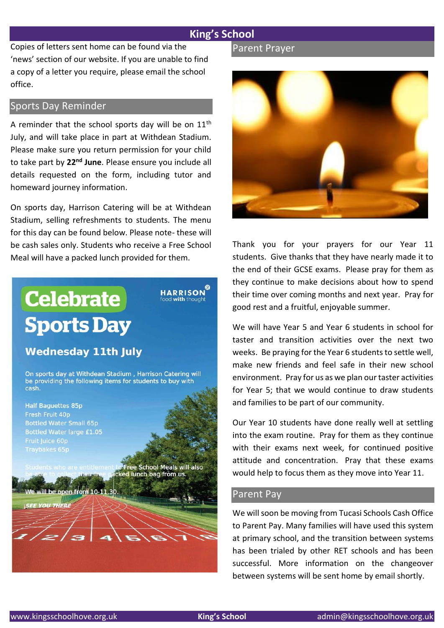Copies of letters sent home can be found via the 'news' section of our website. If you are unable to find a copy of a letter you require, please email the school office.

#### Sports Day Reminder

A reminder that the school sports day will be on  $11<sup>th</sup>$ July, and will take place in part at Withdean Stadium. Please make sure you return permission for your child to take part by **22nd June**. Please ensure you include all details requested on the form, including tutor and homeward journey information.

On sports day, Harrison Catering will be at Withdean Stadium, selling refreshments to students. The menu for this day can be found below. Please note- these will be cash sales only. Students who receive a Free School Meal will have a packed lunch provided for them.

### **HARRISON Celebrate** ood with thought **Sports Day Wednesday 11th July** On sports day at Withdean Stadium, Harrison Catering will be providing the following items for students to buy with cash. **Half Baguettes 85p** Fresh Fruit 40p **Bottled Water Small 65p Bottled Water large £1.05** t to Free School Meals will also<br>acked lunch bag from us. We will be open from 10-11.30 **SEE YOU THERE**

#### Parent Prayer



Thank you for your prayers for our Year 11 students. Give thanks that they have nearly made it to the end of their GCSE exams. Please pray for them as they continue to make decisions about how to spend their time over coming months and next year. Pray for good rest and a fruitful, enjoyable summer.

We will have Year 5 and Year 6 students in school for taster and transition activities over the next two weeks. Be praying for the Year 6 students to settle well, make new friends and feel safe in their new school environment. Pray for us as we plan our taster activities for Year 5; that we would continue to draw students and families to be part of our community.

Our Year 10 students have done really well at settling into the exam routine. Pray for them as they continue with their exams next week, for continued positive attitude and concentration. Pray that these exams would help to focus them as they move into Year 11.

#### Parent Pay

We will soon be moving from Tucasi Schools Cash Office to Parent Pay. Many families will have used this system at primary school, and the transition between systems has been trialed by other RET schools and has been successful. More information on the changeover between systems will be sent home by email shortly.